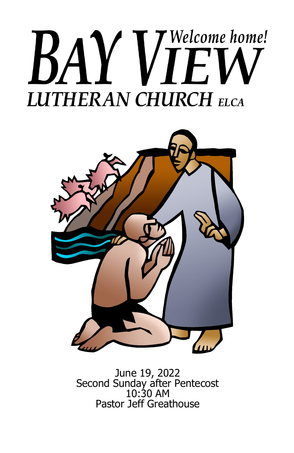# Welcome home! BA E **LUTHERAN CHURCH ELCA**



June 19, 2022 Second Sunday after Pentecost 10:30 AM Pastor Jeff Greathouse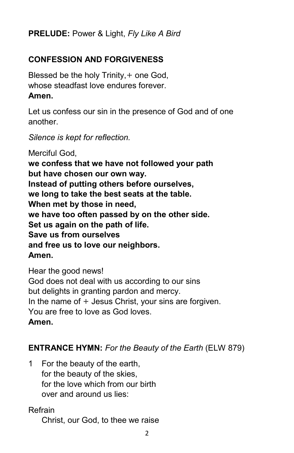# **CONFESSION AND FORGIVENESS**

Blessed be the holy  $Trinity, +$  one God, whose steadfast love endures forever

#### **Amen.**

Let us confess our sin in the presence of God and of one another.

*Silence is kept for reflection.*

Merciful God, **we confess that we have not followed your path but have chosen our own way. Instead of putting others before ourselves, we long to take the best seats at the table. When met by those in need, we have too often passed by on the other side. Set us again on the path of life. Save us from ourselves and free us to love our neighbors. Amen.**

Hear the good news! God does not deal with us according to our sins but delights in granting pardon and mercy. In the name of  $+$  Jesus Christ, your sins are forgiven. You are free to love as God loves. **Amen.**

#### **ENTRANCE HYMN:** *For the Beauty of the Earth* (ELW 879)

1 For the beauty of the earth, for the beauty of the skies, for the love which from our birth over and around us lies:

#### Refrain

Christ, our God, to thee we raise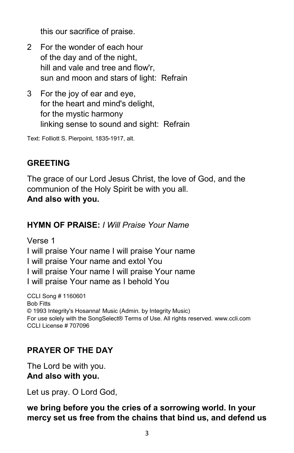this our sacrifice of praise.

- 2 For the wonder of each hour of the day and of the night, hill and vale and tree and flow'r, sun and moon and stars of light: Refrain
- 3 For the joy of ear and eye, for the heart and mind's delight, for the mystic harmony linking sense to sound and sight: Refrain

Text: Folliott S. Pierpoint, 1835-1917, alt.

## **GREETING**

The grace of our Lord Jesus Christ, the love of God, and the communion of the Holy Spirit be with you all. **And also with you.**

#### **HYMN OF PRAISE:** *I Will Praise Your Name*

Verse 1 I will praise Your name I will praise Your name I will praise Your name and extol You I will praise Your name I will praise Your name I will praise Your name as I behold You

CCLI Song # 1160601 Bob Fitts © 1993 Integrity's Hosanna! Music (Admin. by Integrity Music) For use solely with the SongSelect® Terms of Use. All rights reserved. www.ccli.com CCLI License # 707096

# **PRAYER OF THE DAY**

The Lord be with you. **And also with you.**

Let us pray. O Lord God,

**we bring before you the cries of a sorrowing world. In your mercy set us free from the chains that bind us, and defend us**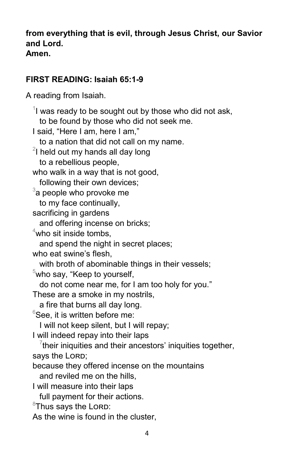**from everything that is evil, through Jesus Christ, our Savior and Lord. Amen.**

## **FIRST READING: Isaiah 65:1-9**

A reading from Isaiah.

 $1$  was ready to be sought out by those who did not ask, to be found by those who did not seek me. I said, "Here I am, here I am," to a nation that did not call on my name.  $^2$ I held out my hands all day long to a rebellious people, who walk in a way that is not good, following their own devices;  $^3$ a people who provoke me to my face continually, sacrificing in gardens and offering incense on bricks;  $4$ who sit inside tombs, and spend the night in secret places; who eat swine's flesh, with broth of abominable things in their vessels;  $5$ who say, "Keep to yourself, do not come near me, for I am too holy for you." These are a smoke in my nostrils, a fire that burns all day long.  $6$ See, it is written before me: I will not keep silent, but I will repay; I will indeed repay into their laps  $\frac{7}{7}$ their iniquities and their ancestors' iniquities together, says the LORD; because they offered incense on the mountains and reviled me on the hills, I will measure into their laps full payment for their actions.  ${}^{8}$ Thus says the Lorp: As the wine is found in the cluster,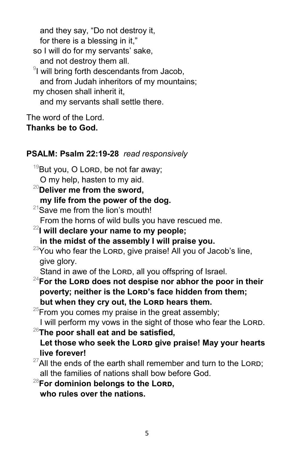and they say, "Do not destroy it, for there is a blessing in it," so I will do for my servants' sake, and not destroy them all.  $^9$ I will bring forth descendants from Jacob, and from Judah inheritors of my mountains; my chosen shall inherit it, and my servants shall settle there.

The word of the Lord. **Thanks be to God.**

## **PSALM: Psalm 22:19-28** *read responsively*

 $19$ But you, O Lorp, be not far away; O my help, hasten to my aid. <sup>20</sup>**Deliver me from the sword, my life from the power of the dog.**  $21$ Save me from the lion's mouth! From the horns of wild bulls you have rescued me. <sup>22</sup>**I will declare your name to my people; in the midst of the assembly I will praise you.**  $^{23}$ You who fear the Lord, give praise! All you of Jacob's line, give glory. Stand in awe of the LORD, all you offspring of Israel. <sup>24</sup>For the Lorp does not despise nor abhor the poor in their poverty; neither is the Lorp's face hidden from them; but when they cry out, the Lord hears them.  $^{25}$ From you comes my praise in the great assembly; I will perform my vows in the sight of those who fear the LORD. <sup>26</sup>**The poor shall eat and be satisfied,** Let those who seek the Lorp give praise! May your hearts **live forever!**  $^{27}$ All the ends of the earth shall remember and turn to the LORD; all the families of nations shall bow before God. <sup>28</sup>**For dominion belongs to the Lord, who rules over the nations.**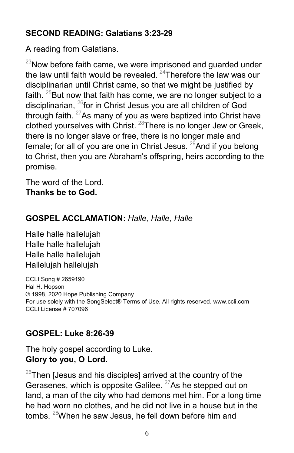## **SECOND READING: Galatians 3:23-29**

A reading from Galatians.

 $23$ Now before faith came, we were imprisoned and guarded under the law until faith would be revealed.  $24$ Therefore the law was our disciplinarian until Christ came, so that we might be justified by faith.  $25$ But now that faith has come, we are no longer subject to a disciplinarian, <sup>26</sup>for in Christ Jesus you are all children of God through faith.  $27$ As many of you as were baptized into Christ have clothed yourselves with Christ.<sup>28</sup>There is no longer Jew or Greek, there is no longer slave or free, there is no longer male and female; for all of you are one in Christ Jesus.  $29$ And if you belong to Christ, then you are Abraham's offspring, heirs according to the promise.

The word of the Lord. **Thanks be to God.**

## **GOSPEL ACCLAMATION:** *Halle, Halle, Halle*

Halle halle hallelujah Halle halle hallelujah Halle halle hallelujah Hallelujah hallelujah

CCLI Song # 2659190 Hal H. Hopson © 1998, 2020 Hope Publishing Company For use solely with the SongSelect® Terms of Use. All rights reserved. www.ccli.com CCLI License # 707096

#### **GOSPEL: Luke 8:26-39**

The holy gospel according to Luke. **Glory to you, O Lord.**

 $26$ Then [Jesus and his disciples] arrived at the country of the Gerasenes, which is opposite Galilee. <sup>27</sup>As he stepped out on land, a man of the city who had demons met him. For a long time he had worn no clothes, and he did not live in a house but in the tombs. <sup>28</sup>When he saw Jesus, he fell down before him and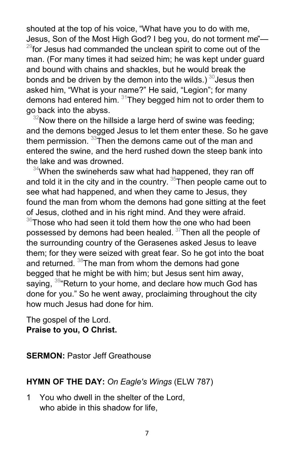shouted at the top of his voice, "What have you to do with me, Jesus, Son of the Most High God? I beg you, do not torment me"—  $29$ for Jesus had commanded the unclean spirit to come out of the man. (For many times it had seized him; he was kept under guard and bound with chains and shackles, but he would break the bonds and be driven by the demon into the wilds.)  $30$  Jesus then asked him, "What is your name?" He said, "Legion"; for many demons had entered him.  $31$ They begged him not to order them to go back into the abyss.

 $32$ Now there on the hillside a large herd of swine was feeding; and the demons begged Jesus to let them enter these. So he gave them permission. <sup>33</sup>Then the demons came out of the man and entered the swine, and the herd rushed down the steep bank into the lake and was drowned.

 $34$ When the swineherds saw what had happened, they ran off and told it in the city and in the country.  $35$ Then people came out to see what had happened, and when they came to Jesus, they found the man from whom the demons had gone sitting at the feet of Jesus, clothed and in his right mind. And they were afraid.  $36$ Those who had seen it told them how the one who had been possessed by demons had been healed. <sup>37</sup>Then all the people of the surrounding country of the Gerasenes asked Jesus to leave them; for they were seized with great fear. So he got into the boat and returned.  $38$ The man from whom the demons had gone begged that he might be with him; but Jesus sent him away, saying,  $^{39}$ "Return to your home, and declare how much God has done for you." So he went away, proclaiming throughout the city how much Jesus had done for him.

The gospel of the Lord. **Praise to you, O Christ.**

**SERMON: Pastor Jeff Greathouse** 

#### **HYMN OF THE DAY:** *On Eagle's Wings* (ELW 787)

1 You who dwell in the shelter of the Lord, who abide in this shadow for life,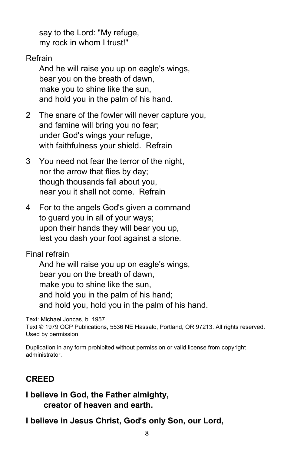say to the Lord: "My refuge, my rock in whom I trust!"

## Refrain

And he will raise you up on eagle's wings, bear you on the breath of dawn, make you to shine like the sun, and hold you in the palm of his hand.

- 2 The snare of the fowler will never capture you, and famine will bring you no fear; under God's wings your refuge, with faithfulness your shield. Refrain
- 3 You need not fear the terror of the night, nor the arrow that flies by day; though thousands fall about you, near you it shall not come. Refrain
- 4 For to the angels God's given a command to guard you in all of your ways; upon their hands they will bear you up, lest you dash your foot against a stone.

#### Final refrain

And he will raise you up on eagle's wings, bear you on the breath of dawn, make you to shine like the sun, and hold you in the palm of his hand; and hold you, hold you in the palm of his hand.

Text: Michael Joncas, b. 1957

Text © 1979 OCP Publications, 5536 NE Hassalo, Portland, OR 97213. All rights reserved. Used by permission.

Duplication in any form prohibited without permission or valid license from copyright administrator.

## **CREED**

## **I believe in God, the Father almighty, creator of heaven and earth.**

**I believe in Jesus Christ, God's only Son, our Lord,**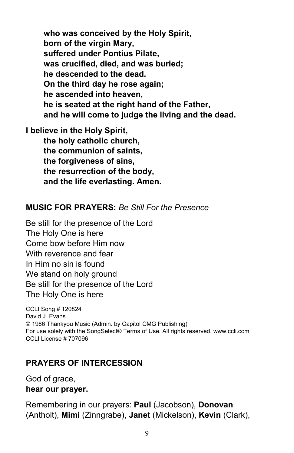**who was conceived by the Holy Spirit, born of the virgin Mary, suffered under Pontius Pilate, was crucified, died, and was buried; he descended to the dead. On the third day he rose again; he ascended into heaven, he is seated at the right hand of the Father, and he will come to judge the living and the dead.**

**I believe in the Holy Spirit, the holy catholic church, the communion of saints, the forgiveness of sins, the resurrection of the body, and the life everlasting. Amen.**

## **MUSIC FOR PRAYERS:** *Be Still For the Presence*

Be still for the presence of the Lord The Holy One is here Come bow before Him now With reverence and fear In Him no sin is found We stand on holy ground Be still for the presence of the Lord The Holy One is here

CCLI Song # 120824 David J. Evans © 1986 Thankyou Music (Admin. by Capitol CMG Publishing) For use solely with the SongSelect® Terms of Use. All rights reserved. www.ccli.com CCLI License # 707096

#### **PRAYERS OF INTERCESSION**

God of grace, **hear our prayer.**

Remembering in our prayers: **Paul** (Jacobson), **Donovan**  (Antholt), **Mimi** (Zinngrabe), **Janet** (Mickelson), **Kevin** (Clark),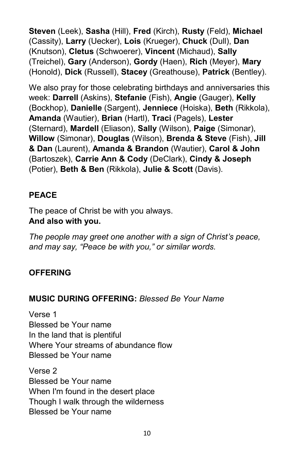**Steven** (Leek), **Sasha** (Hill), **Fred** (Kirch), **Rusty** (Feld), **Michael**  (Cassity), **Larry** (Uecker), **Lois** (Krueger), **Chuck** (Dull), **Dan** (Knutson), **Cletus** (Schwoerer), **Vincent** (Michaud), **Sally**  (Treichel), **Gary** (Anderson), **Gordy** (Haen), **Rich** (Meyer), **Mary**  (Honold), **Dick** (Russell), **Stacey** (Greathouse), **Patrick** (Bentley).

We also pray for those celebrating birthdays and anniversaries this week: **Darrell** (Askins), **Stefanie** (Fish), **Angie** (Gauger), **Kelly**  (Bockhop), **Danielle** (Sargent), **Jenniece** (Hoiska), **Beth** (Rikkola), **Amanda** (Wautier), **Brian** (Hartl), **Traci** (Pagels), **Lester**  (Sternard), **Mardell** (Eliason), **Sally** (Wilson), **Paige** (Simonar), **Willow** (Simonar), **Douglas** (Wilson), **Brenda & Steve** (Fish), **Jill & Dan** (Laurent), **Amanda & Brandon** (Wautier), **Carol & John**  (Bartoszek), **Carrie Ann & Cody** (DeClark), **Cindy & Joseph**  (Potier), **Beth & Ben** (Rikkola), **Julie & Scott** (Davis).

## **PEACE**

The peace of Christ be with you always. **And also with you.**

*The people may greet one another with a sign of Christ's peace, and may say, "Peace be with you," or similar words.*

## **OFFERING**

#### **MUSIC DURING OFFERING:** *Blessed Be Your Name*

Verse 1 Blessed be Your name In the land that is plentiful Where Your streams of abundance flow Blessed be Your name

Verse 2 Blessed be Your name When I'm found in the desert place Though I walk through the wilderness Blessed be Your name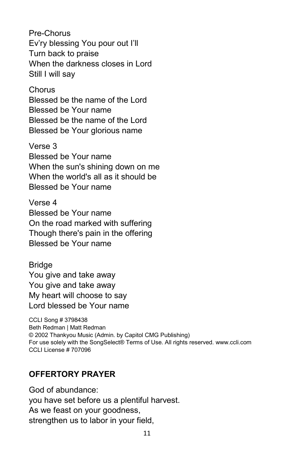Pre-Chorus Ev'ry blessing You pour out I'll Turn back to praise When the darkness closes in Lord Still I will say

**Chorus** Blessed be the name of the Lord Blessed be Your name Blessed be the name of the Lord Blessed be Your glorious name

Verse 3 Blessed be Your name When the sun's shining down on me When the world's all as it should be Blessed be Your name

Verse 4 Blessed be Your name On the road marked with suffering Though there's pain in the offering Blessed be Your name

Bridge You give and take away You give and take away My heart will choose to say Lord blessed be Your name

CCLI Song # 3798438 Beth Redman | Matt Redman © 2002 Thankyou Music (Admin. by Capitol CMG Publishing) For use solely with the SongSelect® Terms of Use. All rights reserved. www.ccli.com CCLI License # 707096

#### **OFFERTORY PRAYER**

God of abundance: you have set before us a plentiful harvest. As we feast on your goodness, strengthen us to labor in your field,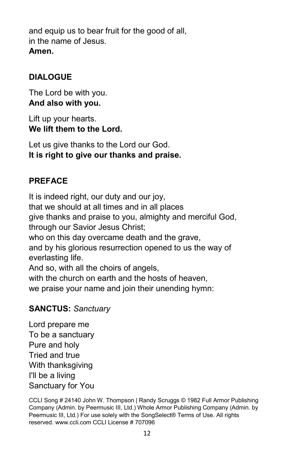and equip us to bear fruit for the good of all, in the name of Jesus. **Amen.**

# **DIALOGUE**

The Lord be with you. **And also with you.**

Lift up your hearts. **We lift them to the Lord.**

Let us give thanks to the Lord our God. **It is right to give our thanks and praise.**

## **PREFACE**

It is indeed right, our duty and our joy, that we should at all times and in all places give thanks and praise to you, almighty and merciful God, through our Savior Jesus Christ; who on this day overcame death and the grave, and by his glorious resurrection opened to us the way of everlasting life. And so, with all the choirs of angels, with the church on earth and the hosts of heaven. we praise your name and join their unending hymn:

## **SANCTUS:** *Sanctuary*

Lord prepare me To be a sanctuary Pure and holy Tried and true With thanksgiving I'll be a living Sanctuary for You

CCLI Song # 24140 John W. Thompson | Randy Scruggs © 1982 Full Armor Publishing Company (Admin. by Peermusic III, Ltd.) Whole Armor Publishing Company (Admin. by Peermusic III, Ltd.) For use solely with the SongSelect® Terms of Use. All rights reserved. www.ccli.com CCLI License # 707096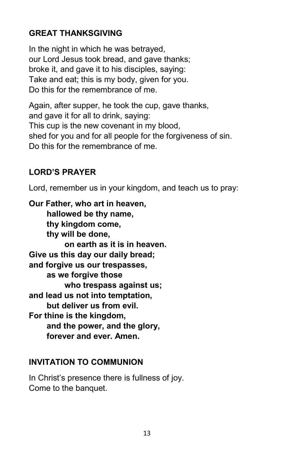# **GREAT THANKSGIVING**

In the night in which he was betrayed, our Lord Jesus took bread, and gave thanks; broke it, and gave it to his disciples, saying: Take and eat; this is my body, given for you. Do this for the remembrance of me.

Again, after supper, he took the cup, gave thanks, and gave it for all to drink, saying: This cup is the new covenant in my blood, shed for you and for all people for the forgiveness of sin. Do this for the remembrance of me.

## **LORD'S PRAYER**

Lord, remember us in your kingdom, and teach us to pray:

**Our Father, who art in heaven, hallowed be thy name, thy kingdom come, thy will be done, on earth as it is in heaven. Give us this day our daily bread; and forgive us our trespasses, as we forgive those who trespass against us; and lead us not into temptation, but deliver us from evil. For thine is the kingdom, and the power, and the glory, forever and ever. Amen.**

#### **INVITATION TO COMMUNION**

In Christ's presence there is fullness of joy. Come to the banquet.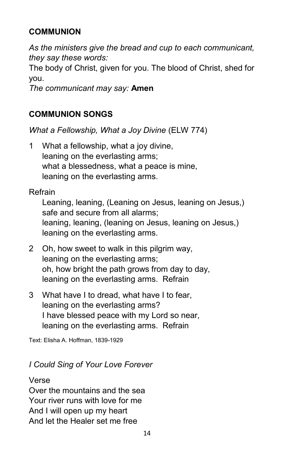## **COMMUNION**

*As the ministers give the bread and cup to each communicant, they say these words:*

The body of Christ, given for you. The blood of Christ, shed for you.

*The communicant may say:* **Amen**

## **COMMUNION SONGS**

*What a Fellowship, What a Joy Divine* (ELW 774)

1 What a fellowship, what a joy divine, leaning on the everlasting arms; what a blessedness, what a peace is mine, leaning on the everlasting arms.

#### Refrain

Leaning, leaning, (Leaning on Jesus, leaning on Jesus,) safe and secure from all alarms; leaning, leaning, (leaning on Jesus, leaning on Jesus,) leaning on the everlasting arms.

- 2 Oh, how sweet to walk in this pilgrim way, leaning on the everlasting arms; oh, how bright the path grows from day to day, leaning on the everlasting arms. Refrain
- 3 What have I to dread, what have I to fear, leaning on the everlasting arms? I have blessed peace with my Lord so near, leaning on the everlasting arms. Refrain

Text: Elisha A. Hoffman, 1839-1929

## *I Could Sing of Your Love Forever*

#### Verse

Over the mountains and the sea Your river runs with love for me And I will open up my heart And let the Healer set me free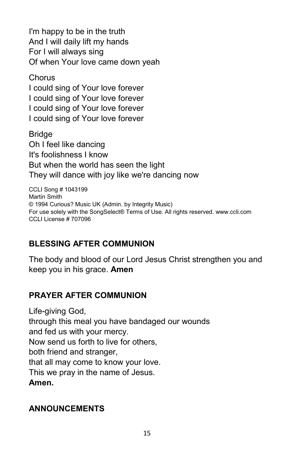I'm happy to be in the truth And I will daily lift my hands For I will always sing Of when Your love came down yeah

**Chorus** I could sing of Your love forever I could sing of Your love forever I could sing of Your love forever I could sing of Your love forever

Bridge Oh I feel like dancing It's foolishness I know But when the world has seen the light They will dance with joy like we're dancing now

CCLI Song # 1043199 Martin Smith © 1994 Curious? Music UK (Admin. by Integrity Music) For use solely with the SongSelect® Terms of Use. All rights reserved. www.ccli.com CCLI License # 707096

# **BLESSING AFTER COMMUNION**

The body and blood of our Lord Jesus Christ strengthen you and keep you in his grace. **Amen** 

# **PRAYER AFTER COMMUNION**

Life-giving God, through this meal you have bandaged our wounds and fed us with your mercy. Now send us forth to live for others, both friend and stranger, that all may come to know your love. This we pray in the name of Jesus. **Amen.**

# **ANNOUNCEMENTS**